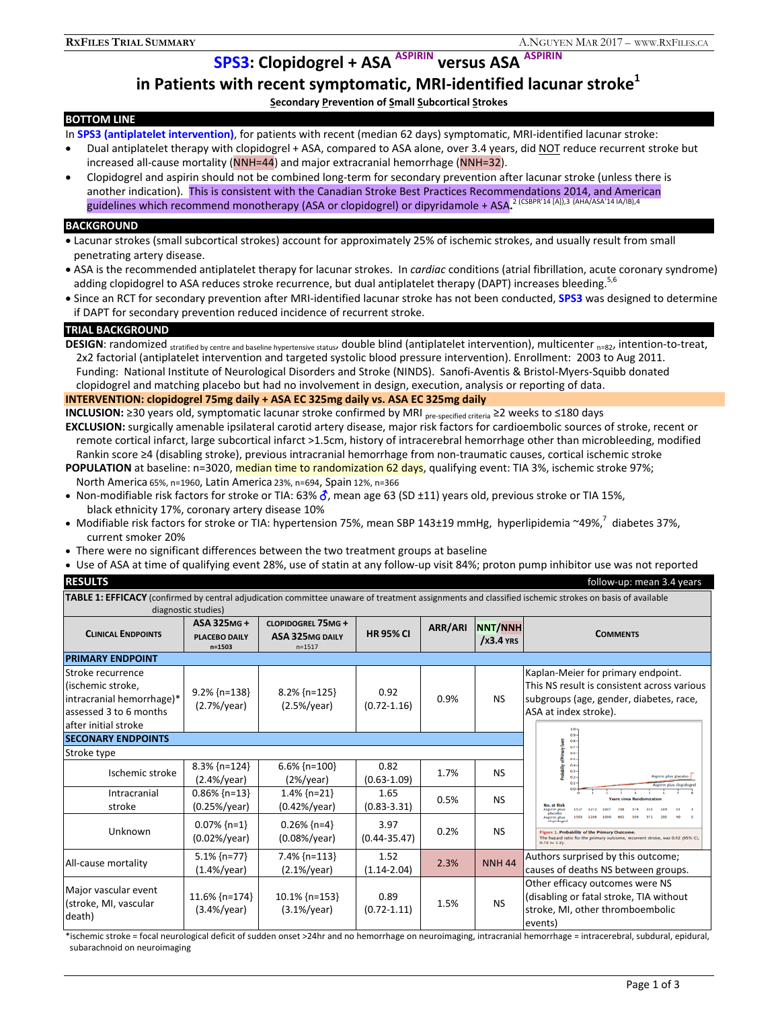**SPS3: Clopidogrel + ASA ASPIRIN versus ASA ASPIRIN** 

# **in Patients with recent symptomatic, MRI-identified lacunar stroke1**

**Secondary Prevention of Small Subcortical Strokes** 

# **BOTTOM LINE**

In **SPS3 (antiplatelet intervention)**, for patients with recent (median 62 days) symptomatic, MRI-identified lacunar stroke:

- Dual antiplatelet therapy with clopidogrel + ASA, compared to ASA alone, over 3.4 years, did NOT reduce recurrent stroke but increased all-cause mortality (NNH=44) and major extracranial hemorrhage (NNH=32).
- Clopidogrel and aspirin should not be combined long-term for secondary prevention after lacunar stroke (unless there is another indication). This is consistent with the Canadian Stroke Best Practices Recommendations 2014, and American guidelines which recommend monotherapy (ASA or clopidogrel) or dipyridamole + ASA.<sup>2 (CSBPR'14 [A]),3 (AHA/ASA'14 IA/IB),4</sup>

## **BACKGROUND**

- Lacunar strokes (small subcortical strokes) account for approximately 25% of ischemic strokes, and usually result from small penetrating artery disease.
- ASA is the recommended antiplatelet therapy for lacunar strokes. In *cardiac* conditions (atrial fibrillation, acute coronary syndrome) adding clopidogrel to ASA reduces stroke recurrence, but dual antiplatelet therapy (DAPT) increases bleeding.<sup>5,6</sup>
- Since an RCT for secondary prevention after MRI-identified lacunar stroke has not been conducted, **SPS3** was designed to determine if DAPT for secondary prevention reduced incidence of recurrent stroke.

# **TRIAL BACKGROUND**

DESIGN: randomized stratified by centre and baseline hypertensive status, double blind (antiplatelet intervention), multicenter <sub>n=82</sub>, intention-to-treat, 2x2 factorial (antiplatelet intervention and targeted systolic blood pressure intervention). Enrollment: 2003 to Aug 2011. Funding: National Institute of Neurological Disorders and Stroke (NINDS). Sanofi-Aventis & Bristol-Myers-Squibb donated clopidogrel and matching placebo but had no involvement in design, execution, analysis or reporting of data.

# **INTERVENTION: clopidogrel 75mg daily + ASA EC 325mg daily vs. ASA EC 325mg daily**

- **INCLUSION:** ≥30 years old, symptomatic lacunar stroke confirmed by MRI pre-specified criteria ≥2 weeks to ≤180 days **EXCLUSION:** surgically amenable ipsilateral carotid artery disease, major risk factors for cardioembolic sources of stroke, recent or remote cortical infarct, large subcortical infarct >1.5cm, history of intracerebral hemorrhage other than microbleeding, modified Rankin score ≥4 (disabling stroke), previous intracranial hemorrhage from non-traumatic causes, cortical ischemic stroke
- **POPULATION** at baseline: n=3020, **median time to randomization 62 days**, qualifying event: TIA 3%, ischemic stroke 97%; North America 65%, n=1960, Latin America 23%, n=694, Spain 12%, n=366
- Non-modifiable risk factors for stroke or TIA: 63%  $\delta$ , mean age 63 (SD ±11) years old, previous stroke or TIA 15%, black ethnicity 17%, coronary artery disease 10%
- Modifiable risk factors for stroke or TIA: hypertension 75%, mean SBP 143±19 mmHg, hyperlipidemia ~49%,<sup>7</sup> diabetes 37%, current smoker 20%
- There were no significant differences between the two treatment groups at baseline
- Use of ASA at time of qualifying event 28%, use of statin at any follow-up visit 84%; proton pump inhibitor use was not reported

**TABLE 1: EFFICACY** (confirmed by central adjudication committee unaware of treatment assignments and classified ischemic strokes on basis of available diagnostic studies)

|                                                                                                                       | ulagilostic studies)                             |                                                                  |                          |         |                                     |                                                                                                                                                                                     |  |  |  |
|-----------------------------------------------------------------------------------------------------------------------|--------------------------------------------------|------------------------------------------------------------------|--------------------------|---------|-------------------------------------|-------------------------------------------------------------------------------------------------------------------------------------------------------------------------------------|--|--|--|
| <b>CLINICAL ENDPOINTS</b>                                                                                             | ASA 325MG+<br><b>PLACEBO DAILY</b><br>$n = 1503$ | <b>CLOPIDOGREL 75MG+</b><br><b>ASA 325MG DAILY</b><br>$n = 1517$ | <b>HR 95% CI</b>         | ARR/ARI | <b>NNT/NNH</b><br>$\sqrt{23.4}$ YRS | <b>COMMENTS</b>                                                                                                                                                                     |  |  |  |
| <b>PRIMARY ENDPOINT</b>                                                                                               |                                                  |                                                                  |                          |         |                                     |                                                                                                                                                                                     |  |  |  |
| Stroke recurrence<br>(ischemic stroke,<br>intracranial hemorrhage)*<br>assessed 3 to 6 months<br>after initial stroke | $9.2\%$ {n=138}<br>$(2.7%)$ year)                | $8.2\%$ {n=125}<br>$(2.5\%/year)$                                | 0.92<br>$(0.72 - 1.16)$  | 0.9%    | NS.                                 | Kaplan-Meier for primary endpoint.<br>This NS result is consistent across various<br>subgroups (age, gender, diabetes, race,<br>ASA at index stroke).                               |  |  |  |
| <b>SECONARY ENDPOINTS</b>                                                                                             |                                                  |                                                                  |                          |         |                                     | $0.9 -$<br>$0.8 -$                                                                                                                                                                  |  |  |  |
| Stroke type                                                                                                           |                                                  | $0.7 -$<br>$0.6 -$<br>$0.5 -$                                    |                          |         |                                     |                                                                                                                                                                                     |  |  |  |
| Ischemic stroke                                                                                                       | $8.3\%$ {n=124}<br>$(2.4\%/year)$                | $6.6\%$ {n=100}<br>$(2\%/year)$                                  | 0.82<br>$(0.63 - 1.09)$  | 1.7%    | <b>NS</b>                           | $0.4 -$<br>$0.1 -$<br>Aspirin plus placebo<br>$0.2 -$<br>Aspirin plus clopidogre                                                                                                    |  |  |  |
| Intracranial<br>stroke                                                                                                | $0.86\%$ {n=13}<br>$(0.25\%/year)$               | $1.4\%$ {n=21}<br>$(0.42\%/year)$                                | 1.65<br>$(0.83 - 3.31)$  | 0.5%    | NS.                                 | $0.0 -$<br><b>Years since Bandomization</b><br>No. at Rick<br><b>Aspirin plus</b><br>1517<br>placebo                                                                                |  |  |  |
| Unknown                                                                                                               | $0.07\%$ {n=1}<br>$(0.02\%/year)$                | $0.26\%$ {n=4}<br>$(0.08\%/year)$                                | 3.97<br>$(0.44 - 35.47)$ | 0.2%    | <b>NS</b>                           | Aspirin plus<br>clopidogrel<br>Figure 1. Probability of the Primary Outcome.<br>The hazard ratio for the primary outcome, recurrent stroke, was 0.92 (95% CI,<br>$0.72$ to $1.21$ . |  |  |  |
| All-cause mortality                                                                                                   | $5.1\%$ {n=77}<br>$(1.4\%/year)$                 | $7.4\%$ {n=113}<br>$(2.1\%/year)$                                | 1.52<br>$(1.14 - 2.04)$  | 2.3%    | <b>NNH 44</b>                       | Authors surprised by this outcome;<br>causes of deaths NS between groups.                                                                                                           |  |  |  |
| Major vascular event<br>(stroke, MI, vascular<br>death)                                                               | $11.6\%$ {n=174}<br>$(3.4\%/year)$               | $10.1\%$ {n=153}<br>$(3.1\%/year)$                               | 0.89<br>$(0.72 - 1.11)$  | 1.5%    | <b>NS</b>                           | Other efficacy outcomes were NS<br>(disabling or fatal stroke, TIA without<br>stroke, MI, other thromboembolic<br>events)                                                           |  |  |  |

\*ischemic stroke = focal neurological deficit of sudden onset >24hr and no hemorrhage on neuroimaging, intracranial hemorrhage = intracerebral, subdural, epidural, subarachnoid on neuroimaging

**RESULTS** follow-up: mean 3.4 years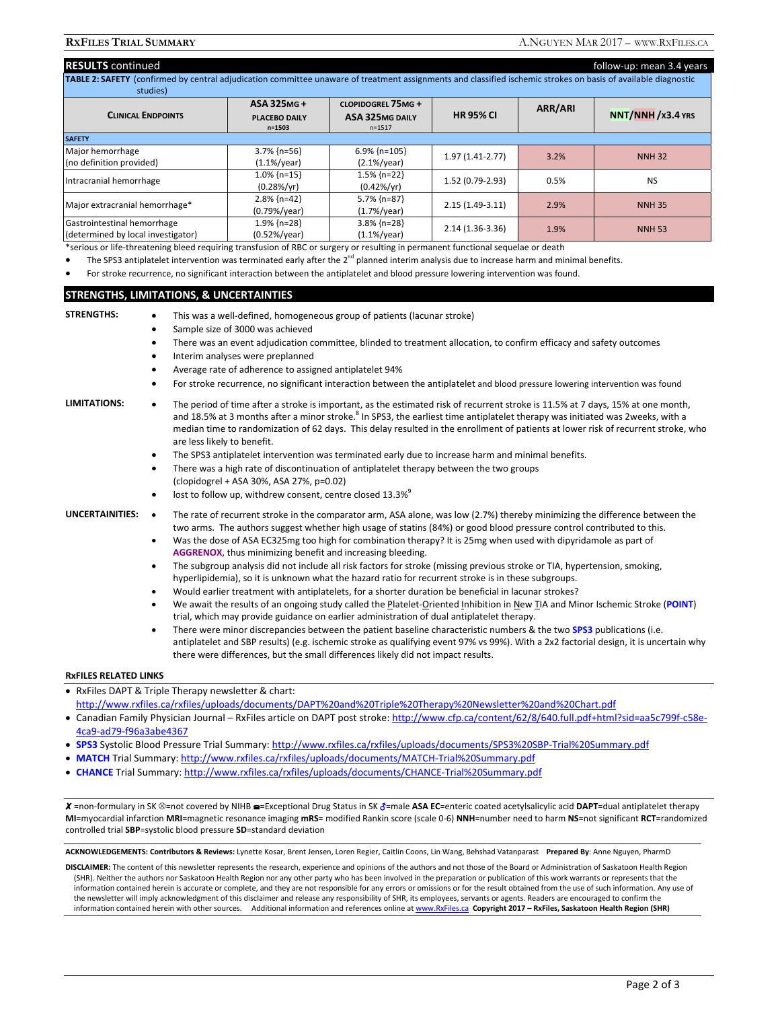| <b>RESULTS</b> continued<br>TABLE 2: SAFETY (confirmed by central adjudication committee unaware of treatment assignments and classified ischemic strokes on basis of available diagnostic |                                                  |                                                                  |                   |         | follow-up: mean 3.4 years |
|--------------------------------------------------------------------------------------------------------------------------------------------------------------------------------------------|--------------------------------------------------|------------------------------------------------------------------|-------------------|---------|---------------------------|
| studies)                                                                                                                                                                                   |                                                  |                                                                  |                   |         |                           |
| <b>CLINICAL ENDPOINTS</b>                                                                                                                                                                  | ASA 325MG+<br><b>PLACEBO DAILY</b><br>$n = 1503$ | <b>CLOPIDOGREL 75MG+</b><br><b>ASA 325MG DAILY</b><br>$n = 1517$ | <b>HR 95% CI</b>  | ARR/ARI | $NNT/NNH/x3.4$ YRS        |
| <b>SAFETY</b>                                                                                                                                                                              |                                                  |                                                                  |                   |         |                           |
| Major hemorrhage<br>(no definition provided)                                                                                                                                               | $3.7\%$ {n=56}<br>$(1.1\%/year)$                 | $6.9\%$ {n=105}<br>$(2.1\%/year)$                                | $1.97(1.41-2.77)$ | 3.2%    | <b>NNH 32</b>             |
| Intracranial hemorrhage                                                                                                                                                                    | $1.0\%$ {n=15}<br>$(0.28\%/yr)$                  | $1.5\%$ {n=22}<br>$(0.42\%/yr)$                                  | 1.52 (0.79-2.93)  | 0.5%    | <b>NS</b>                 |
| Major extracranial hemorrhage*                                                                                                                                                             | $2.8\%$ {n=42}<br>$(0.79\%/year)$                | $5.7\%$ {n=87}<br>$(1.7%)$ year)                                 | $2.15(1.49-3.11)$ | 2.9%    | <b>NNH 35</b>             |
| Gastrointestinal hemorrhage<br>(determined by local investigator)                                                                                                                          | $1.9\%$ {n=28}<br>$(0.52%$ /year)                | $3.8\%$ {n=28}<br>$(1.1\%/year)$                                 | $2.14(1.36-3.36)$ | 1.9%    | <b>NNH 53</b>             |

\*serious or life-threatening bleed requiring transfusion of RBC or surgery or resulting in permanent functional sequelae or death

The SPS3 antiplatelet intervention was terminated early after the  $2^{nd}$  planned interim analysis due to increase harm and minimal benefits.

For stroke recurrence, no significant interaction between the antiplatelet and blood pressure lowering intervention was found.

### **STRENGTHS, LIMITATIONS, & UNCERTAINTIES**

- **STRENGTHS:** This was a well-defined, homogeneous group of patients (lacunar stroke)
	- Sample size of 3000 was achieved
	- There was an event adjudication committee, blinded to treatment allocation, to confirm efficacy and safety outcomes
	- Interim analyses were preplanned
	- Average rate of adherence to assigned antiplatelet 94%
	- For stroke recurrence, no significant interaction between the antiplatelet and blood pressure lowering intervention was found

### LIMITATIONS: The period of time after a stroke is important, as the estimated risk of recurrent stroke is 11.5% at 7 days, 15% at one month, and 18.5% at 3 months after a minor stroke.<sup>8</sup> In SPS3, the earliest time antiplatelet therapy was initiated was 2weeks, with a median time to randomization of 62 days. This delay resulted in the enrollment of patients at lower risk of recurrent stroke, who

- are less likely to benefit.
	- The SPS3 antiplatelet intervention was terminated early due to increase harm and minimal benefits.
	- There was a high rate of discontinuation of antiplatelet therapy between the two groups (clopidogrel + ASA 30%, ASA 27%, p=0.02)

# lost to follow up, withdrew consent, centre closed  $13.3\%$ <sup>9</sup>

- 
- **UNCERTAINITIES:**  The rate of recurrent stroke in the comparator arm, ASA alone, was low (2.7%) thereby minimizing the difference between the two arms. The authors suggest whether high usage of statins (84%) or good blood pressure control contributed to this.
	- Was the dose of ASA EC325mg too high for combination therapy? It is 25mg when used with dipyridamole as part of **AGGRENOX**, thus minimizing benefit and increasing bleeding.
	- The subgroup analysis did not include all risk factors for stroke (missing previous stroke or TIA, hypertension, smoking, hyperlipidemia), so it is unknown what the hazard ratio for recurrent stroke is in these subgroups.
	- Would earlier treatment with antiplatelets, for a shorter duration be beneficial in lacunar strokes?
	- We await the results of an ongoing study called the Platelet-Oriented Inhibition in New TIA and Minor Ischemic Stroke (**POINT**) trial, which may provide guidance on earlier administration of dual antiplatelet therapy.
	- There were minor discrepancies between the patient baseline characteristic numbers & the two **SPS3** publications (i.e. antiplatelet and SBP results) (e.g. ischemic stroke as qualifying event 97% vs 99%). With a 2x2 factorial design, it is uncertain why there were differences, but the small differences likely did not impact results.

#### **RxFILES RELATED LINKS**

| • RxFiles DAPT & Triple Therapy newsletter & chart:                                                                                            |
|------------------------------------------------------------------------------------------------------------------------------------------------|
| http://www.rxfiles.ca/rxfiles/uploads/documents/DAPT%20and%20Triple%20Therapy%20Newsletter%20and%20Chart.pdf                                   |
| • Canadian Family Physician Journal – RxFiles article on DAPT post stroke: http://www.cfp.ca/content/62/8/640.full.pdf+html?sid=aa5c799f-c58e- |
| 4ca9-ad79-f96a3abe4367                                                                                                                         |
|                                                                                                                                                |

- · SPS3 Systolic Blood Pressure Trial Summary: http://www.rxfiles.ca/rxfiles/uploads/documents/SPS3%20SBP-Trial%20Summary.pdf
- **MATCH** Trial Summary: http://www.rxfiles.ca/rxfiles/uploads/documents/MATCH-Trial%20Summary.pdf
- **CHANCE** Trial Summary: http://www.rxfiles.ca/rxfiles/uploads/documents/CHANCE-Trial%20Summary.pdf

X =non-formulary in SK <sup>⊗</sup>=not covered by NIHB <del>=</del>=Exceptional Drug Status in SK &=male ASA EC=enteric coated acetylsalicylic acid DAPT=dual antiplatelet therapy **MI**=myocardial infarction **MRI**=magnetic resonance imaging **mRS**= modified Rankin score (scale 0-6) **NNH**=number need to harm **NS**=not significant **RCT**=randomized controlled trial **SBP**=systolic blood pressure **SD**=standard deviation

**ACKNOWLEDGEMENTS: Contributors & Reviews:** Lynette Kosar, Brent Jensen, Loren Regier, Caitlin Coons, Lin Wang, Behshad Vatanparast **Prepared By**: Anne Nguyen, PharmD

**DISCLAIMER:** The content of this newsletter represents the research, experience and opinions of the authors and not those of the Board or Administration of Saskatoon Health Region (SHR). Neither the authors nor Saskatoon Health Region nor any other party who has been involved in the preparation or publication of this work warrants or represents that the information contained herein is accurate or complete, and they are not responsible for any errors or omissions or for the result obtained from the use of such information. Any use of the newsletter will imply acknowledgment of this disclaimer and release any responsibility of SHR, its employees, servants or agents. Readers are encouraged to confirm the information contained herein with other sources. Additional information and references online at www.RxFiles.ca **Copyright 2017 – RxFiles, Saskatoon Health Region (SHR)**